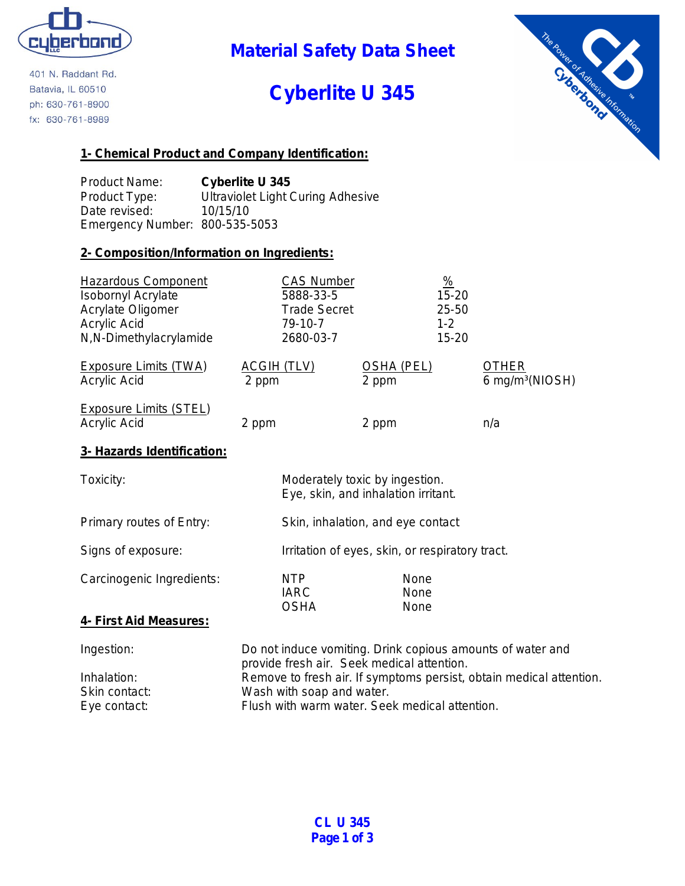

401 N. Raddant Rd. Batavia, IL 60510 ph: 630-761-8900 fx: 630-761-8989

**Material Safety Data Sheet**

# **Cyberlite U 345**



## **1- Chemical Product and Company Identification:**

Product Name: **Cyberlite U 345** Product Type: Ultraviolet Light Curing Adhesive Date revised: 10/15/10 Emergency Number: 800-535-5053

### **2- Composition/Information on Ingredients:**

| <b>Hazardous Component</b><br><b>Isobornyl Acrylate</b><br>Acrylate Oligomer<br><b>Acrylic Acid</b><br>N,N-Dimethylacrylamide | <b>CAS Number</b><br>5888-33-5<br><b>Trade Secret</b><br>79-10-7<br>2680-03-7 |                                   | $\frac{\%}{\%}$<br>$15 - 20$<br>25-50<br>$1 - 2$<br>15-20 |                                             |
|-------------------------------------------------------------------------------------------------------------------------------|-------------------------------------------------------------------------------|-----------------------------------|-----------------------------------------------------------|---------------------------------------------|
| <b>Exposure Limits (TWA)</b><br><b>Acrylic Acid</b>                                                                           | <b>ACGIH (TLV)</b><br>2 ppm                                                   | OSHA (PEL)<br>2 ppm               |                                                           | <b>OTHER</b><br>6 mg/m <sup>3</sup> (NIOSH) |
| <b>Exposure Limits (STEL)</b><br><b>Acrylic Acid</b>                                                                          | 2 ppm                                                                         | 2 ppm                             |                                                           | n/a                                         |
| 3- Hazards Identification:                                                                                                    |                                                                               |                                   |                                                           |                                             |
| Toxicity:                                                                                                                     | Moderately toxic by ingestion.<br>Eye, skin, and inhalation irritant.         |                                   |                                                           |                                             |
| Primary routes of Entry:                                                                                                      |                                                                               | Skin, inhalation, and eye contact |                                                           |                                             |

Signs of exposure: Irritation of eyes, skin, or respiratory tract.

Carcinogenic Ingredients: NTP None IARC None OSHA None

### **4- First Aid Measures:**

| Ingestion:    | Do not induce vomiting. Drink copious amounts of water and<br>provide fresh air. Seek medical attention. |
|---------------|----------------------------------------------------------------------------------------------------------|
| Inhalation:   | Remove to fresh air. If symptoms persist, obtain medical attention.                                      |
| Skin contact: | Wash with soap and water.                                                                                |
| Eye contact:  | Flush with warm water. Seek medical attention.                                                           |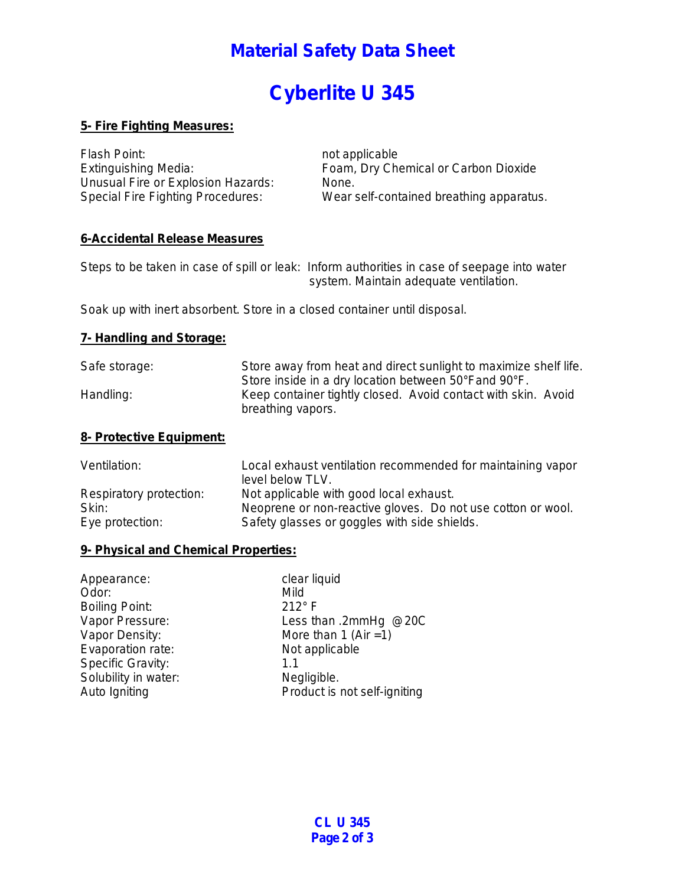## **Material Safety Data Sheet**

# **Cyberlite U 345**

## **5- Fire Fighting Measures:**

Flash Point: not applicable Unusual Fire or Explosion Hazards: None.

Extinguishing Media: Foam, Dry Chemical or Carbon Dioxide Special Fire Fighting Procedures: Wear self-contained breathing apparatus.

## **6-Accidental Release Measures**

Steps to be taken in case of spill or leak: Inform authorities in case of seepage into water system. Maintain adequate ventilation.

Soak up with inert absorbent. Store in a closed container until disposal.

#### **7- Handling and Storage:**

| Safe storage: | Store away from heat and direct sunlight to maximize shelf life. |
|---------------|------------------------------------------------------------------|
|               | Store inside in a dry location between 50°Fand 90°F.             |
| Handling:     | Keep container tightly closed. Avoid contact with skin. Avoid    |
|               | breathing vapors.                                                |

## **8- Protective Equipment:**

| Ventilation:            | Local exhaust ventilation recommended for maintaining vapor<br>level below TLV. |
|-------------------------|---------------------------------------------------------------------------------|
| Respiratory protection: | Not applicable with good local exhaust.                                         |
| Skin:                   | Neoprene or non-reactive gloves. Do not use cotton or wool.                     |
| Eye protection:         | Safety glasses or goggles with side shields.                                    |

### **9- Physical and Chemical Properties:**

| Appearance:           | clear liquid                 |
|-----------------------|------------------------------|
| Odor:                 | Mild                         |
| <b>Boiling Point:</b> | $212^\circ$ F                |
| Vapor Pressure:       | Less than .2mmHg @20C        |
| Vapor Density:        | More than 1 (Air = 1)        |
| Evaporation rate:     | Not applicable               |
| Specific Gravity:     | 1.1                          |
| Solubility in water:  | Negligible.                  |
| Auto Igniting         | Product is not self-igniting |
|                       |                              |